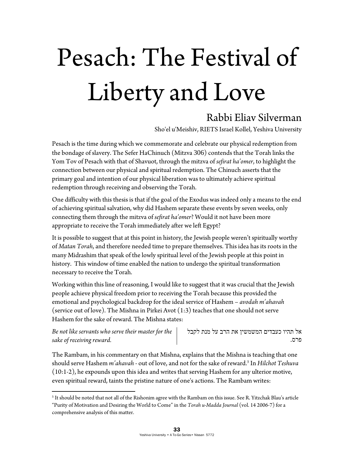## Pesach: The Festival of Liberty and Love

## Rabbi Eliav Silverman

Sho'el u'Meishiv, RIETS Israel Kollel, Yeshiva University

Pesach is the time during which we commemorate and celebrate our physical redemption from the bondage of slavery. The Sefer HaChinuch (Mitzva 306) contends that the Torah links the Yom Tov of Pesach with that of Shavuot, through the mitzva of *sefirat ha'omer*, to highlight the connection between our physical and spiritual redemption. The Chinuch asserts that the primary goal and intention of our physical liberation was to ultimately achieve spiritual redemption through receiving and observing the Torah.

One difficulty with this thesis is that if the goal of the Exodus was indeed only a means to the end of achieving spiritual salvation, why did Hashem separate these events by seven weeks, only connecting them through the mitzva of *sefirat ha'omer*? Would it not have been more appropriate to receive the Torah immediately after we left Egypt?

It is possible to suggest that at this point in history, the Jewish people weren't spiritually worthy of *Matan Torah*, and therefore needed time to prepare themselves. This idea has its roots in the many Midrashim that speak of the lowly spiritual level of the Jewish people at this point in history. This window of time enabled the nation to undergo the spiritual transformation necessary to receive the Torah.

Working within this line of reasoning, I would like to suggest that it was crucial that the Jewish people achieve physical freedom prior to receiving the Torah because this provided the emotional and psychological backdrop for the ideal service of Hashem – *avodah m'ahavah* (service out of love). The Mishna in Pirkei Avot (1:3) teaches that one should not serve Hashem for the sake of reward. The Mishna states:

*Be not like servants who serve their master for the sake of receiving reward.* 

 $\overline{a}$ 

אל תהיו כעבדים המשמשין את הרב על מנת לקבל פרס.

The Rambam, in his commentary on that Mishna, explains that the Mishna is teaching that one should serve Hashem *m'ahavah -* out of love, and not for the sake of reward.5 In *Hilchot Teshuva* (10:1-2), he expounds upon this idea and writes that serving Hashem for any ulterior motive, even spiritual reward, taints the pristine nature of one's actions. The Rambam writes:

 $^5$  It should be noted that not all of the Rishonim agree with the Rambam on this issue. See R. Yitzchak Blau's article "Purity of Motivation and Desiring the World to Come" in the *Torah u-Madda Journal* (vol. 14 2006-7) for a comprehensive analysis of this matter.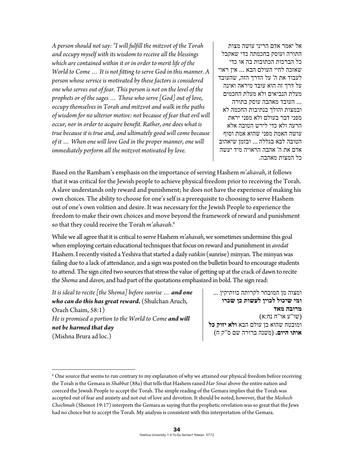*A person should not say: "I will fulfill the mitzvot of the Torah and occupy myself with its wisdom to receive all the blessings which are contained within it or in order to merit life of the World to Come … It is not fitting to serve God in this manner. A person whose service is motivated by these factors is considered one who serves out of fear. This person is not on the level of the prophets or of the sages … Those who serve [God] out of love, occupy themselves in Torah and mitzvot and walk in the paths of wisdom for no ulterior motive: not because of fear that evil will occur, nor in order to acquire benefit. Rather, one does what is true because it is true and, and ultimately good will come because of it … When one will love God in the proper manner, one will immediately perform all the mitzvot motivated by love.* 

אל יאמר אדם הריני עושה מצות התורה ועוסק בחכמתה כדי שאקבל כל הברכות הכתובות בה או כדי שאזכה לחיי העולם הבא ... אין ראוי לעבוד את ה' על הדרך הזה , שהעובד על דרך זה הוא עובד מיראה ואינה מעלת הנביאים ולא מעלת החכמים ... העובד מאהבה עוסק בתורה ובמצות והולך בנתיבות החכמה לא מפני דבר בעולם ולא מפני יראת הרעה ולא כדי לירש הטובה אלא עושה האמת מפני שהוא אמת וסוף הטובה לבא בגללה ... ובזמן שיאהוב אדם את ה' אהבה הראויה מיד יעשה כל המצות מאהבה.

Based on the Rambam's emphasis on the importance of serving Hashem *m'ahavah*, it follows that it was critical for the Jewish people to achieve physical freedom prior to receiving the Torah. A slave understands only reward and punishment; he does not have the experience of making his own choices. The ability to choose for one's self is a prerequisite to choosing to serve Hashem out of one's own volition and desire. It was necessary for the Jewish People to experience the freedom to make their own choices and move beyond the framework of reward and punishment so that they could receive the Torah *m'ahavah*. 6

While we all agree that it is critical to serve Hashem *m'ahavah*, we sometimes undermine this goal when employing certain educational techniques that focus on reward and punishment in *avodat* Hashem. I recently visited a Yeshiva that started a daily *vatikin* (sunrise) minyan. The minyan was failing due to a lack of attendance, and a sign was posted on the bulletin board to encourage students to attend. The sign cited two sources that stress the value of getting up at the crack of dawn to recite the *Shema* and *daven*, and had part of the quotations emphasized in bold. The sign read:

*It is ideal to recite [the Shema] before sunrise … and one who can do this has great reward.* (Shulchan Aruch, Orach Chaim, 58:1) *He is promised a portion to the World to Come and will not be harmed that day* (Mishna Brura ad loc.)

 $\overline{a}$ 

ומצוה מן המובחר לקרותה כוותיקין ... **ומי שיכול לכוין לעשות כן שכרו מרובה מאד** (שו"ע או"ח נח:א) ומובטח שהוא בן עולם הבא **ולא יזוק כל אותו היום.** (משנה ברורה שם ס"ק ח)

 $^6$  One source that seems to run contrary to my explanation of why we attained our physical freedom before receiving the Torah is the Gemara in *Shabbat* (88a) that tells that Hashem raised *Har Sinai* above the entire nation and coerced the Jewish People to accept the Torah. The simple reading of the Gemara implies that the Torah was accepted out of fear and anxiety and not out of love and devotion. It should be noted, however, that the *Meshech Chochmah* (Shemot 19:17) interprets the Gemara as saying that the prophetic revelation was so great that the Jews had no choice but to accept the Torah. My analysis is consistent with this interpretation of the Gemara.